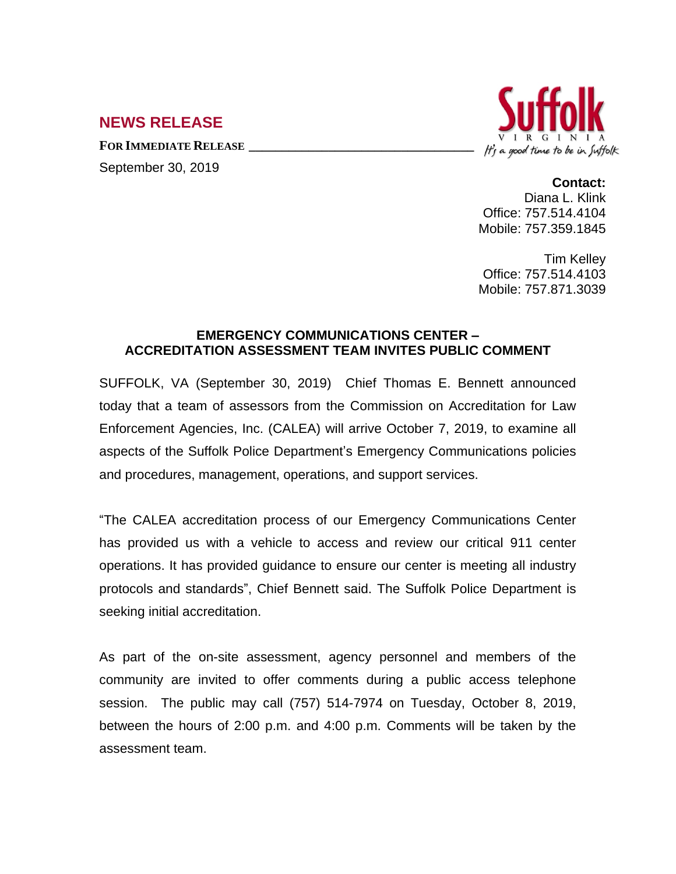## **NEWS RELEASE**

**FOR IMMEDIATE RELEASE \_\_\_\_\_\_\_\_\_\_\_\_\_\_\_\_\_\_\_\_\_\_\_\_\_\_\_\_\_\_\_\_\_\_**





## **Contact:**

Diana L. Klink Office: 757.514.4104 Mobile: 757.359.1845

Tim Kelley Office: 757.514.4103 Mobile: 757.871.3039

## **EMERGENCY COMMUNICATIONS CENTER – ACCREDITATION ASSESSMENT TEAM INVITES PUBLIC COMMENT**

SUFFOLK, VA (September 30, 2019) Chief Thomas E. Bennett announced today that a team of assessors from the Commission on Accreditation for Law Enforcement Agencies, Inc. (CALEA) will arrive October 7, 2019, to examine all aspects of the Suffolk Police Department's Emergency Communications policies and procedures, management, operations, and support services.

"The CALEA accreditation process of our Emergency Communications Center has provided us with a vehicle to access and review our critical 911 center operations. It has provided guidance to ensure our center is meeting all industry protocols and standards", Chief Bennett said. The Suffolk Police Department is seeking initial accreditation.

As part of the on-site assessment, agency personnel and members of the community are invited to offer comments during a public access telephone session. The public may call (757) 514-7974 on Tuesday, October 8, 2019, between the hours of 2:00 p.m. and 4:00 p.m. Comments will be taken by the assessment team.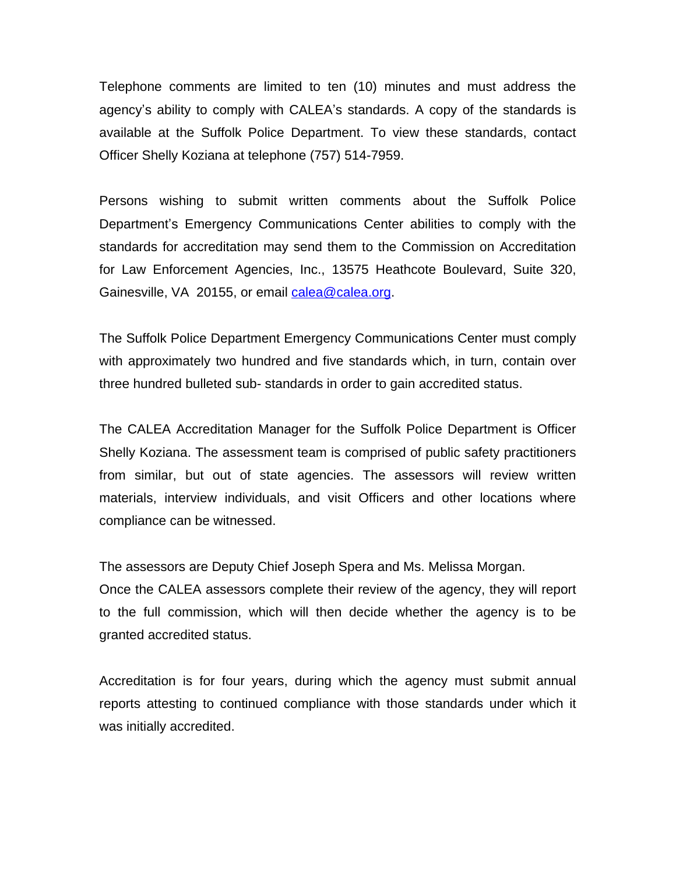Telephone comments are limited to ten (10) minutes and must address the agency's ability to comply with CALEA's standards. A copy of the standards is available at the Suffolk Police Department. To view these standards, contact Officer Shelly Koziana at telephone (757) 514-7959.

Persons wishing to submit written comments about the Suffolk Police Department's Emergency Communications Center abilities to comply with the standards for accreditation may send them to the Commission on Accreditation for Law Enforcement Agencies, Inc., 13575 Heathcote Boulevard, Suite 320, Gainesville, VA 20155, or email [calea@calea.org](mailto:calea@calea.org).

The Suffolk Police Department Emergency Communications Center must comply with approximately two hundred and five standards which, in turn, contain over three hundred bulleted sub- standards in order to gain accredited status.

The CALEA Accreditation Manager for the Suffolk Police Department is Officer Shelly Koziana. The assessment team is comprised of public safety practitioners from similar, but out of state agencies. The assessors will review written materials, interview individuals, and visit Officers and other locations where compliance can be witnessed.

The assessors are Deputy Chief Joseph Spera and Ms. Melissa Morgan.

Once the CALEA assessors complete their review of the agency, they will report to the full commission, which will then decide whether the agency is to be granted accredited status.

Accreditation is for four years, during which the agency must submit annual reports attesting to continued compliance with those standards under which it was initially accredited.